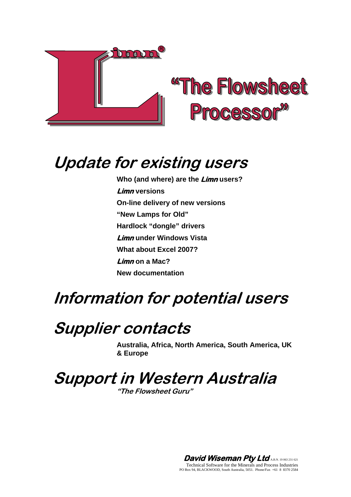

# **Update for existing users**

**Who (and where) are the Limn users? Limn versions On-line delivery of new versions "New Lamps for Old" Hardlock "dongle" drivers Limn under Windows Vista What about Excel 2007? Limn on a Mac? New documentation** 

# **Information for potential users**

# **Supplier contacts**

**Australia, Africa, North America, South America, UK & Europe** 

**Support in Western Australia** 

**"The Flowsheet Guru"** 

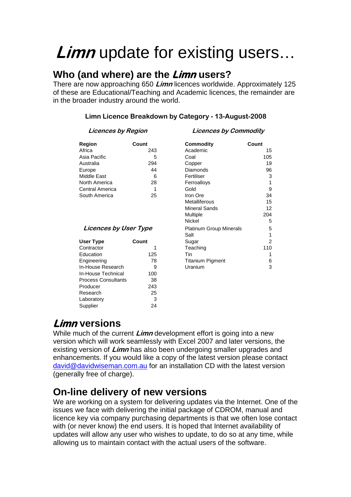# **Limn** update for existing users…

### **Who (and where) are the Limn users?**

There are now approaching 650 **Limn** licences worldwide. Approximately 125 of these are Educational/Teaching and Academic licences, the remainder are in the broader industry around the world.

#### **Limn Licence Breakdown by Category - 13-August-2008**

#### **Licences by Region Licences by Commodity**

| Region          | Count | Commodity   | Count |
|-----------------|-------|-------------|-------|
| Africa          | 243   | Academic    |       |
| Asia Pacific    | 5     | Coal        |       |
| Australia       | 294   | Copper      |       |
| Europe          | 44    | Diamonds    |       |
| Middle East     | 6     | Fertiliser  |       |
| North America   | 28    | Ferroalloys |       |
| Central America | 1     | Gold        |       |
| South America   | 25    | Iron Ore    |       |
|                 |       |             |       |

#### **Licences by User Type**

| <b>User Type</b>           | Count |  |
|----------------------------|-------|--|
| Contractor                 |       |  |
| Education                  | 125   |  |
| Engineering                | 78    |  |
| In-House Research          | g     |  |
| In-House Technical         | 100   |  |
| <b>Process Consultants</b> | 38    |  |
| Producer                   | 243   |  |
| Research                   | 25    |  |
| Laboratory                 | 3     |  |
| Supplier                   | 24    |  |

| Region                       | Count | Commodity                      | Count |
|------------------------------|-------|--------------------------------|-------|
| Africa                       | 243   | Academic                       | 15    |
| Asia Pacific                 | 5     | Coal                           | 105   |
| Australia                    | 294   | Copper                         | 19    |
| Europe                       | 44    | Diamonds                       | 96    |
| Middle East                  | 6     | Fertiliser                     | 3     |
| North America                | 28    | Ferroalloys                    |       |
| Central America              | 1     | Gold                           | 9     |
| South America                | 25    | Iron Ore                       | 34    |
|                              |       | Metalliferous                  | 15    |
|                              |       | <b>Mineral Sands</b>           | 12    |
|                              |       | Multiple                       | 204   |
|                              |       | Nickel                         | 5     |
| <b>Licences by User Type</b> |       | <b>Platinum Group Minerals</b> | 5     |
|                              |       | Salt                           |       |
| User Type                    | Count | Sugar                          | 2     |
| Contractor                   |       | Teaching                       | 110   |
| Education                    | 125   | Tin                            |       |
| Engineering                  | 78    | Titanium Pigment               | 6     |
| In-House Research            | 9     | Uranium                        | 3     |
|                              |       |                                |       |

### **Limn versions**

While much of the current **Limn** development effort is going into a new version which will work seamlessly with Excel 2007 and later versions, the existing version of **Limn** has also been undergoing smaller upgrades and enhancements. If you would like a copy of the latest version please contact [david@davidwiseman.com.au](mailto:david@davidwiseman.com.au) for an installation CD with the latest version (generally free of charge).

### **On-line delivery of new versions**

We are working on a system for delivering updates via the Internet. One of the issues we face with delivering the initial package of CDROM, manual and licence key via company purchasing departments is that we often lose contact with (or never know) the end users. It is hoped that Internet availability of updates will allow any user who wishes to update, to do so at any time, while allowing us to maintain contact with the actual users of the software.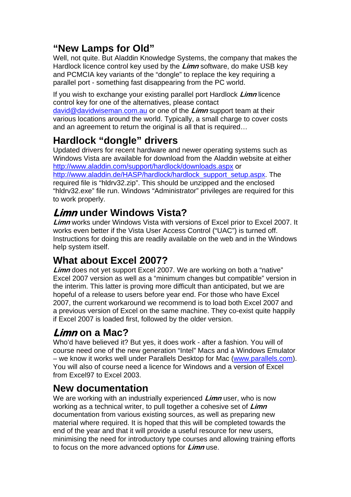## **"New Lamps for Old"**

Well, not quite. But Aladdin Knowledge Systems, the company that makes the Hardlock licence control key used by the **Limn** software, do make USB key and PCMCIA key variants of the "dongle" to replace the key requiring a parallel port - something fast disappearing from the PC world.

If you wish to exchange your existing parallel port Hardlock **Limn** licence control key for one of the alternatives, please contact [david@davidwiseman.com.au](mailto:david@davidwiseman.com.au) or one of the **Limn** support team at their various locations around the world. Typically, a small charge to cover costs and an agreement to return the original is all that is required…

# **Hardlock "dongle" drivers**

Updated drivers for recent hardware and newer operating systems such as Windows Vista are available for download from the Aladdin website at either <http://www.aladdin.com/support/hardlock/downloads.aspx> or

[http://www.aladdin.de/HASP/hardlock/hardlock\\_support\\_setup.aspx](http://www.aladdin.de/HASP/hardlock/hardlock_support_setup.aspx). The required file is "hldrv32.zip". This should be unzipped and the enclosed "hldrv32.exe" file run. Windows "Administrator" privileges are required for this to work properly.

# **Limn under Windows Vista?**

**Limn** works under Windows Vista with versions of Excel prior to Excel 2007. It works even better if the Vista User Access Control ("UAC") is turned off. Instructions for doing this are readily available on the web and in the Windows help system itself.

# **What about Excel 2007?**

**Limn** does not yet support Excel 2007. We are working on both a "native" Excel 2007 version as well as a "minimum changes but compatible" version in the interim. This latter is proving more difficult than anticipated, but we are hopeful of a release to users before year end. For those who have Excel 2007, the current workaround we recommend is to load both Excel 2007 and a previous version of Excel on the same machine. They co-exist quite happily if Excel 2007 is loaded first, followed by the older version.

## **Limn on a Mac?**

Who'd have believed it? But yes, it does work - after a fashion. You will of course need one of the new generation "Intel" Macs and a Windows Emulator – we know it works well under Parallels Desktop for Mac [\(www.parallels.com](http://www.parallels.com/)). You will also of course need a licence for Windows and a version of Excel from Excel97 to Excel 2003.

## **New documentation**

We are working with an industrially experienced **Limn** user, who is now working as a technical writer, to pull together a cohesive set of **Limn** documentation from various existing sources, as well as preparing new material where required. It is hoped that this will be completed towards the end of the year and that it will provide a useful resource for new users, minimising the need for introductory type courses and allowing training efforts to focus on the more advanced options for **Limn** use.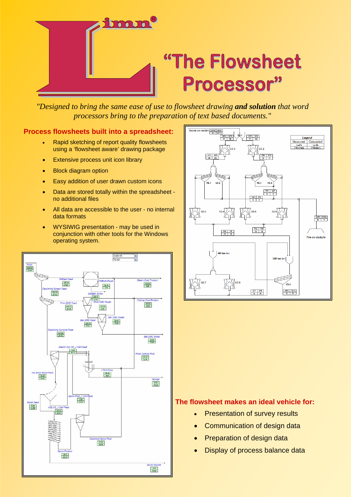

# "The Flowsheet Processor"

*"Designed to bring the same ease of use to flowsheet drawing and solution that word processors bring to the preparation of text based documents."*

#### **Process flowsheets built into a spreadsheet:**

- Rapid sketching of report quality flowsheets using a 'flowsheet aware' drawing package
- Extensive process unit icon library
- **Block diagram option**
- Easy addition of user drawn custom icons
- Data are stored totally within the spreadsheet no additional files
- All data are accessible to the user no internal data formats
- WYSIWIG presentation may be used in conjunction with other tools for the Windows operating system.





#### **The flowsheet makes an ideal vehicle for:**

- Presentation of survey results
- Communication of design data
- **Preparation of design data**
- Display of process balance data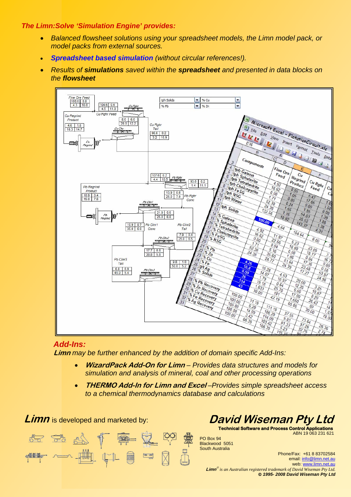#### *The Limn:Solve 'Simulation Engine' provides:*

- *Balanced flowsheet solutions using your spreadsheet models, the Limn model pack, or model packs from external sources.*
- *Spreadsheet based simulation (without circular references!).*
- *Results of simulations saved within the spreadsheet and presented in data blocks on the flowsheet*



#### *Add-Ins:*

**Limn** *may be further enhanced by the addition of domain specific Add-Ins:* 

- **WizardPack Add-On for Limn** *Provides data structures and models for simulation and analysis of mineral, coal and other processing operations*
- **THERMO Add-In for Limn and Excel** *–Provides simple spreadsheet access to a chemical thermodynamics database and calculations*

**Limn** is developed and marketed by:





**Technical Software and Process Control Applications** ABN 19 063 231 621

PO Box 94 Blackwood 5051 South Australia

Phone/Fax: +61 8 83702584 email: [info@limn.net.au](mailto:info@limn.net.au) web: [www.limn.net.au](http://www.limn.net.au/)  **Limn**® *is an Australian registered trademark of David Wiseman Pty Ltd.* © *1995- 2008 David Wiseman Pty Ltd*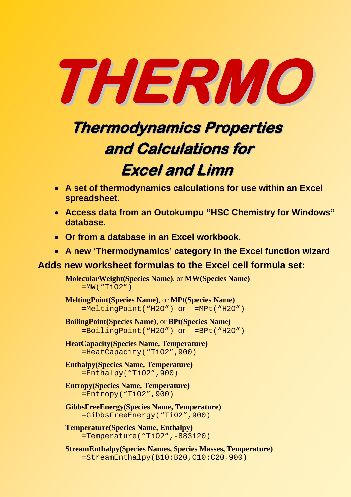

# **Thermodynamics Properties and Calculations for**

# **Excel and Limn**

- **A set of thermodynamics calculations for use within an Excel spreadsheet.**
- **Access data from an Outokumpu "HSC Chemistry for Windows" database.**
- **Or from a database in an Excel workbook.**
- **A new 'Thermodynamics' category in the Excel function wizard**

### **Adds new worksheet formulas to the Excel cell formula set:**

**MolecularWeight(Species Name)**, or **MW(Species Name)**  $=$ MW("TiO2")

**MeltingPoint(Species Name)**, or **MPt(Species Name)** =MeltingPoint("H2O") or =MPt("H2O")

- **BoilingPoint(Species Name)**, or **BPt(Species Name)** =BoilingPoint("H2O") or =BPt("H2O")
- **HeatCapacity(Species Name, Temperature)**  =HeatCapacity("TiO2",900)
- **Enthalpy(Species Name, Temperature)**  $=$ Enthalpy("TiO2", 900)
- **Entropy(Species Name, Temperature)** =Entropy("TiO2",900)
- **GibbsFreeEnergy(Species Name, Temperature)** =GibbsFreeEnergy("TiO2",900)
- **Temperature(Species Name, Enthalpy)** =Temperature("TiO2",-883120)
- **StreamEnthalpy(Species Names, Species Masses, Temperature)**  $=$ StreamEnthalpy(B10:B20,C10:C20,900)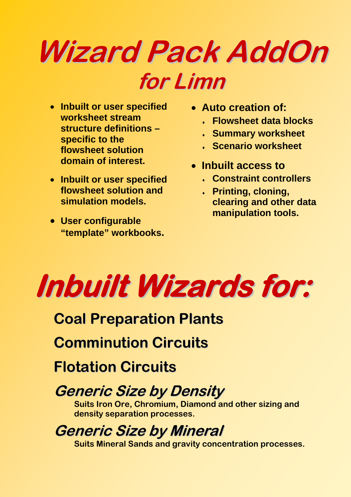# **Wizard Pack AddOn for Limn**

- **Inbuilt or user specified worksheet stream structure definitions – specific to the flowsheet solution domain of interest.**
- **Inbuilt or user specified flowsheet solution and simulation models.**
- **User configurable "template" workbooks.**
- **Auto creation of:** 
	- ♦ **Flowsheet data blocks**
	- ♦ **Summary worksheet**
	- ♦ **Scenario worksheet**
- **Inbuilt access to** 
	- ♦ **Constraint controllers**
	- **A** Printing, cloning, **clearing and other data manipulation tools.**



# **Coal Preparation Plants**

**Comminution Circuits**

**Flotation Circuits**

# **Generic Size by Density**

**Suits Iron Ore, Chromium, Diamond and other sizing and density separation processes.** 

# **Generic Size by Mineral**

**Suits Mineral Sands and gravity concentration processes.**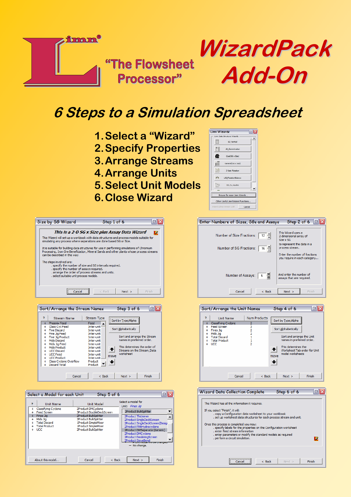

# **6 Steps to a Simulation Spreadsheet**

**1.Select a "Wizard" 2.Specify Properties 3.Arrange Streams 4.Arrange Units 5.Select Unit Models**

 $\overline{\mathbb{R}}$ 

**6.Close Wizard** 

 $5 + \frac{1}{2}$  of 6



|                                                                                                                                                                | This is a 2-D SG x Size plus Assay Data Wizard<br>TC.                                                                                                                                 |  |  |
|----------------------------------------------------------------------------------------------------------------------------------------------------------------|---------------------------------------------------------------------------------------------------------------------------------------------------------------------------------------|--|--|
| This Wizard will set up a workbook with data structures and process models suitable for<br>simulating any process where separations are done based SG or Size. |                                                                                                                                                                                       |  |  |
| can be described in this way.                                                                                                                                  | It is suitable for building data structures for use in performing simulations of Chromium<br>Processing, Iron Ore Beneficiation, Mineral Sands and other plants whose process streams |  |  |
| The steps involved are:                                                                                                                                        |                                                                                                                                                                                       |  |  |
| , specify the number of assays required.                                                                                                                       | , specify the number of size and SG intervals required.                                                                                                                               |  |  |
|                                                                                                                                                                | , arrange the order of process streams and units.                                                                                                                                     |  |  |
| , select suitable unit process models.                                                                                                                         |                                                                                                                                                                                       |  |  |
|                                                                                                                                                                |                                                                                                                                                                                       |  |  |
| --------------------------------                                                                                                                               |                                                                                                                                                                                       |  |  |
|                                                                                                                                                                |                                                                                                                                                                                       |  |  |
| Cancel                                                                                                                                                         | $<$ Back<br>Next ><br>Finish                                                                                                                                                          |  |  |
|                                                                                                                                                                |                                                                                                                                                                                       |  |  |
|                                                                                                                                                                |                                                                                                                                                                                       |  |  |
| Sort/Arrange the Stream Names                                                                                                                                  | Step 3 of 6<br>日                                                                                                                                                                      |  |  |
|                                                                                                                                                                |                                                                                                                                                                                       |  |  |
| P<br><b>Stream Name</b>                                                                                                                                        | <b>Stream Type</b>                                                                                                                                                                    |  |  |
| <b>Phoenix Feed</b><br>$+$                                                                                                                                     | Sort by Type/Alpha<br>Feed                                                                                                                                                            |  |  |
| <b>Class Cvc Feed</b><br>$+$                                                                                                                                   | Inter-unit                                                                                                                                                                            |  |  |
| + Fine Discard                                                                                                                                                 | Sort Alphabetically<br>Inter-unit                                                                                                                                                     |  |  |
| + Fine Jia Feed                                                                                                                                                | Inter-unit                                                                                                                                                                            |  |  |
| + Fine Jig Product                                                                                                                                             | Sort and arrange the Stream<br>Inter-unit                                                                                                                                             |  |  |
| Mids Discard<br>$+$                                                                                                                                            | names in preferred order.<br>Inter-unit                                                                                                                                               |  |  |
| + Mids Jig Feed                                                                                                                                                | Inter-unit<br>This determines the order of                                                                                                                                            |  |  |
| Mids Product<br>$+$                                                                                                                                            | Inter-unit                                                                                                                                                                            |  |  |
| + UCC Discard<br>+ UCC Feed                                                                                                                                    | Streams on the Stream Data<br>Inter-unit<br>worksheet<br>Inter-unit                                                                                                                   |  |  |
| + UCC Product                                                                                                                                                  | move<br>Inter-unit                                                                                                                                                                    |  |  |
| <b>Class Cyclone Overflow</b><br>÷                                                                                                                             | Product                                                                                                                                                                               |  |  |
| <b>Discard Total</b><br>÷                                                                                                                                      | Product                                                                                                                                                                               |  |  |

Size by SG Wizard

|                       | Select a Model for each Unit                                                                                                                         | Step 5 of 6                                                                                                                                                                                     | 弖                                                                                                                                                                                                                                                                                                                                                 |
|-----------------------|------------------------------------------------------------------------------------------------------------------------------------------------------|-------------------------------------------------------------------------------------------------------------------------------------------------------------------------------------------------|---------------------------------------------------------------------------------------------------------------------------------------------------------------------------------------------------------------------------------------------------------------------------------------------------------------------------------------------------|
| Þ<br>$+$<br>$\ddot{}$ | <b>Unit Name</b><br>Classifying Cyclone<br><b>Feed Screen</b><br>Fines Jia<br>Mids Jia<br><b>Total Discard</b><br><b>Total Product</b><br><b>UCC</b> | <b>Unit Model</b><br>2Product DMCvclone<br>3Product DoubleDeckScreen<br>2Product BulkSplitter<br>2Product BulkSplitter<br>1Product SimpleMixer<br>1Product SimpleMixer<br>2Product BulkSplitter | Select a model for<br>Unit: Fines Jia<br>2Product BulkSplitter<br>2Product Thickener<br>2Product SingleDeckScreen<br>2Product SingleDeckScreen(Design<br>2Product PlittHydrocyclone<br>2Product DMSeparator (Generic)<br>2Product DMCvclone<br>2Product DeslimingScreen<br>2Product SieveBend<br><b>Turn model via De Changed</b><br>- No change. |
|                       | About this model                                                                                                                                     | Cancel<br>$<$ Back                                                                                                                                                                              | Next ><br>Finish                                                                                                                                                                                                                                                                                                                                  |





| <b>Wizard Data Collection Complete</b>                                                                                                                                                                                                                                                                                                                                                                                                                                       | Step 6 of 6 |        |
|------------------------------------------------------------------------------------------------------------------------------------------------------------------------------------------------------------------------------------------------------------------------------------------------------------------------------------------------------------------------------------------------------------------------------------------------------------------------------|-------------|--------|
| The Wizard has all the information it requires.<br>If you select "Finish", it will:<br>. copy a Configuration data worksheet to your workbook<br>, set up worksheet data structures for each process stream and unit.<br>Once this process is completed you may:<br>, specify labels for the properties on the Configuration worksheet<br>, enter feed stream information<br>. enter parameters or modify the standard models as required<br>, perform a circuit simulation. |             | m      |
| <br>$<$ Back                                                                                                                                                                                                                                                                                                                                                                                                                                                                 | Next >      | Finish |